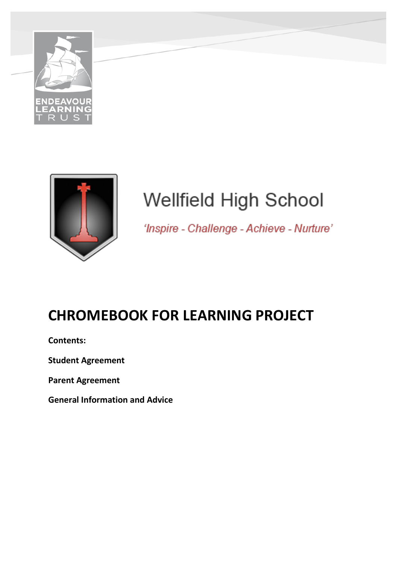



# **Wellfield High School**

'Inspire - Challenge - Achieve - Nurture'

# **CHROMEBOOK FOR LEARNING PROJECT**

**Contents:**

**Student Agreement** 

**Parent Agreement** 

**General Information and Advice**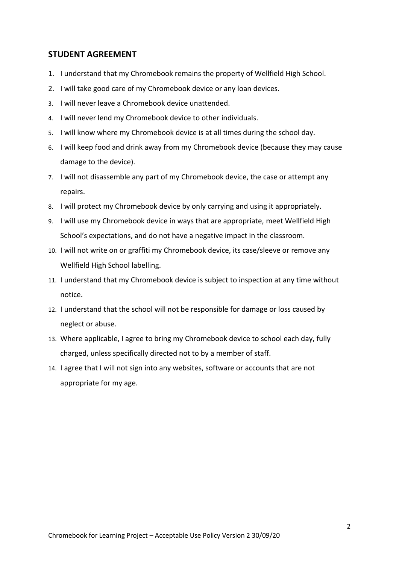#### **STUDENT AGREEMENT**

- 1. I understand that my Chromebook remains the property of Wellfield High School.
- 2. I will take good care of my Chromebook device or any loan devices.
- 3. I will never leave a Chromebook device unattended.
- 4. I will never lend my Chromebook device to other individuals.
- 5. I will know where my Chromebook device is at all times during the school day.
- 6. I will keep food and drink away from my Chromebook device (because they may cause damage to the device).
- 7. I will not disassemble any part of my Chromebook device, the case or attempt any repairs.
- 8. I will protect my Chromebook device by only carrying and using it appropriately.
- 9. I will use my Chromebook device in ways that are appropriate, meet Wellfield High School's expectations, and do not have a negative impact in the classroom.
- 10. I will not write on or graffiti my Chromebook device, its case/sleeve or remove any Wellfield High School labelling.
- 11. I understand that my Chromebook device is subject to inspection at any time without notice.
- 12. I understand that the school will not be responsible for damage or loss caused by neglect or abuse.
- 13. Where applicable, I agree to bring my Chromebook device to school each day, fully charged, unless specifically directed not to by a member of staff.
- 14. I agree that I will not sign into any websites, software or accounts that are not appropriate for my age.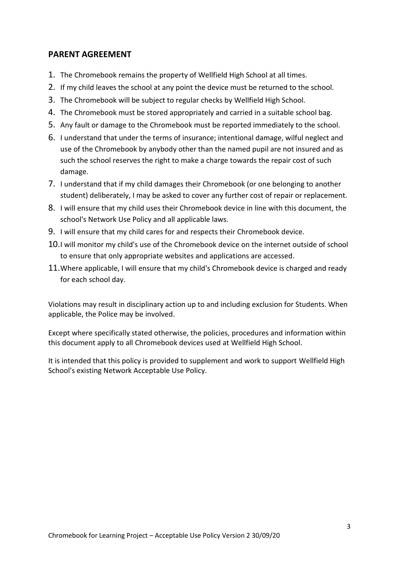## **PARENT AGREEMENT**

- 1. The Chromebook remains the property of Wellfield High School at all times.
- 2. If my child leaves the school at any point the device must be returned to the school.
- 3. The Chromebook will be subject to regular checks by Wellfield High School.
- 4. The Chromebook must be stored appropriately and carried in a suitable school bag.
- 5. Any fault or damage to the Chromebook must be reported immediately to the school.
- 6. I understand that under the terms of insurance; intentional damage, wilful neglect and use of the Chromebook by anybody other than the named pupil are not insured and as such the school reserves the right to make a charge towards the repair cost of such damage.
- 7. I understand that if my child damages their Chromebook (or one belonging to another student) deliberately, I may be asked to cover any further cost of repair or replacement.
- 8. I will ensure that my child uses their Chromebook device in line with this document, the school's Network Use Policy and all applicable laws.
- 9. I will ensure that my child cares for and respects their Chromebook device.
- 10.I will monitor my child's use of the Chromebook device on the internet outside of school to ensure that only appropriate websites and applications are accessed.
- 11.Where applicable, I will ensure that my child's Chromebook device is charged and ready for each school day.

Violations may result in disciplinary action up to and including exclusion for Students. When applicable, the Police may be involved.

Except where specifically stated otherwise, the policies, procedures and information within this document apply to all Chromebook devices used at Wellfield High School.

It is intended that this policy is provided to supplement and work to support Wellfield High School's existing Network Acceptable Use Policy.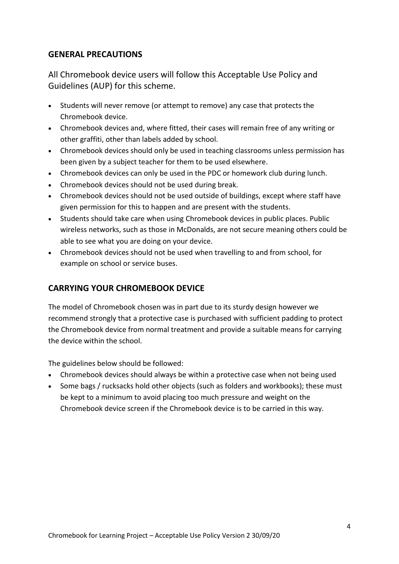#### **GENERAL PRECAUTIONS**

All Chromebook device users will follow this Acceptable Use Policy and Guidelines (AUP) for this scheme.

- Students will never remove (or attempt to remove) any case that protects the Chromebook device.
- Chromebook devices and, where fitted, their cases will remain free of any writing or other graffiti, other than labels added by school.
- Chromebook devices should only be used in teaching classrooms unless permission has been given by a subject teacher for them to be used elsewhere.
- Chromebook devices can only be used in the PDC or homework club during lunch.
- Chromebook devices should not be used during break.
- Chromebook devices should not be used outside of buildings, except where staff have given permission for this to happen and are present with the students.
- Students should take care when using Chromebook devices in public places. Public wireless networks, such as those in McDonalds, are not secure meaning others could be able to see what you are doing on your device.
- Chromebook devices should not be used when travelling to and from school, for example on school or service buses.

# **CARRYING YOUR CHROMEBOOK DEVICE**

The model of Chromebook chosen was in part due to its sturdy design however we recommend strongly that a protective case is purchased with sufficient padding to protect the Chromebook device from normal treatment and provide a suitable means for carrying the device within the school.

The guidelines below should be followed:

- Chromebook devices should always be within a protective case when not being used
- Some bags / rucksacks hold other objects (such as folders and workbooks); these must be kept to a minimum to avoid placing too much pressure and weight on the Chromebook device screen if the Chromebook device is to be carried in this way.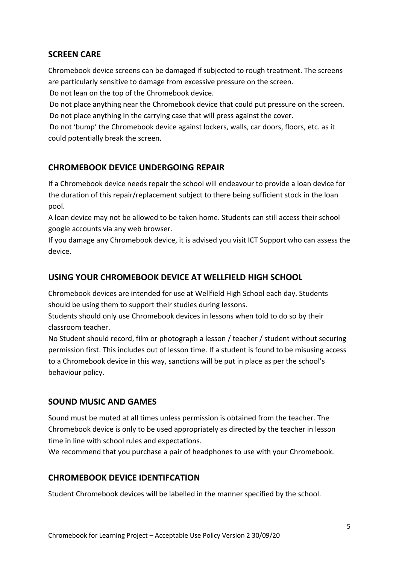#### **SCREEN CARE**

Chromebook device screens can be damaged if subjected to rough treatment. The screens are particularly sensitive to damage from excessive pressure on the screen.

Do not lean on the top of the Chromebook device.

Do not place anything near the Chromebook device that could put pressure on the screen. Do not place anything in the carrying case that will press against the cover.

Do not 'bump' the Chromebook device against lockers, walls, car doors, floors, etc. as it could potentially break the screen.

## **CHROMEBOOK DEVICE UNDERGOING REPAIR**

If a Chromebook device needs repair the school will endeavour to provide a loan device for the duration of this repair/replacement subject to there being sufficient stock in the loan pool.

A loan device may not be allowed to be taken home. Students can still access their school google accounts via any web browser.

If you damage any Chromebook device, it is advised you visit ICT Support who can assess the device.

# **USING YOUR CHROMEBOOK DEVICE AT WELLFIELD HIGH SCHOOL**

Chromebook devices are intended for use at Wellfield High School each day. Students should be using them to support their studies during lessons.

Students should only use Chromebook devices in lessons when told to do so by their classroom teacher.

No Student should record, film or photograph a lesson / teacher / student without securing permission first. This includes out of lesson time. If a student is found to be misusing access to a Chromebook device in this way, sanctions will be put in place as per the school's behaviour policy.

#### **SOUND MUSIC AND GAMES**

Sound must be muted at all times unless permission is obtained from the teacher. The Chromebook device is only to be used appropriately as directed by the teacher in lesson time in line with school rules and expectations.

We recommend that you purchase a pair of headphones to use with your Chromebook.

#### **CHROMEBOOK DEVICE IDENTIFCATION**

Student Chromebook devices will be labelled in the manner specified by the school.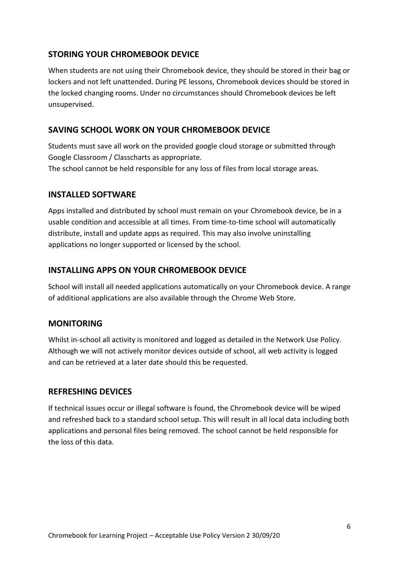## **STORING YOUR CHROMEBOOK DEVICE**

When students are not using their Chromebook device, they should be stored in their bag or lockers and not left unattended. During PE lessons, Chromebook devices should be stored in the locked changing rooms. Under no circumstances should Chromebook devices be left unsupervised.

#### **SAVING SCHOOL WORK ON YOUR CHROMEBOOK DEVICE**

Students must save all work on the provided google cloud storage or submitted through Google Classroom / Classcharts as appropriate.

The school cannot be held responsible for any loss of files from local storage areas.

#### **INSTALLED SOFTWARE**

Apps installed and distributed by school must remain on your Chromebook device, be in a usable condition and accessible at all times. From time-to-time school will automatically distribute, install and update apps as required. This may also involve uninstalling applications no longer supported or licensed by the school.

#### **INSTALLING APPS ON YOUR CHROMEBOOK DEVICE**

School will install all needed applications automatically on your Chromebook device. A range of additional applications are also available through the Chrome Web Store.

#### **MONITORING**

Whilst in-school all activity is monitored and logged as detailed in the Network Use Policy. Although we will not actively monitor devices outside of school, all web activity is logged and can be retrieved at a later date should this be requested.

#### **REFRESHING DEVICES**

If technical issues occur or illegal software is found, the Chromebook device will be wiped and refreshed back to a standard school setup. This will result in all local data including both applications and personal files being removed. The school cannot be held responsible for the loss of this data.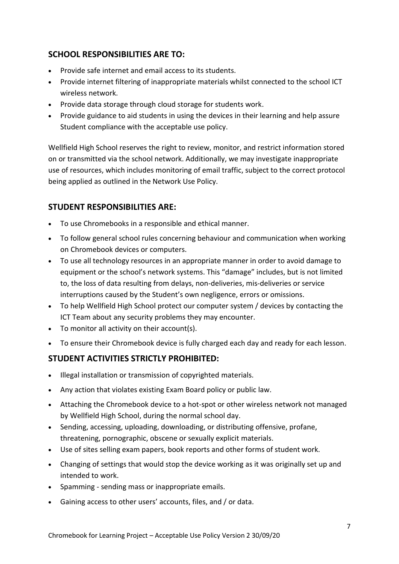# **SCHOOL RESPONSIBILITIES ARE TO:**

- Provide safe internet and email access to its students.
- Provide internet filtering of inappropriate materials whilst connected to the school ICT wireless network.
- Provide data storage through cloud storage for students work.
- Provide guidance to aid students in using the devices in their learning and help assure Student compliance with the acceptable use policy.

Wellfield High School reserves the right to review, monitor, and restrict information stored on or transmitted via the school network. Additionally, we may investigate inappropriate use of resources, which includes monitoring of email traffic, subject to the correct protocol being applied as outlined in the Network Use Policy.

## **STUDENT RESPONSIBILITIES ARE:**

- To use Chromebooks in a responsible and ethical manner.
- To follow general school rules concerning behaviour and communication when working on Chromebook devices or computers.
- To use all technology resources in an appropriate manner in order to avoid damage to equipment or the school's network systems. This "damage" includes, but is not limited to, the loss of data resulting from delays, non-deliveries, mis-deliveries or service interruptions caused by the Student's own negligence, errors or omissions.
- To help Wellfield High School protect our computer system / devices by contacting the ICT Team about any security problems they may encounter.
- To monitor all activity on their account(s).
- To ensure their Chromebook device is fully charged each day and ready for each lesson.

# **STUDENT ACTIVITIES STRICTLY PROHIBITED:**

- Illegal installation or transmission of copyrighted materials.
- Any action that violates existing Exam Board policy or public law.
- Attaching the Chromebook device to a hot-spot or other wireless network not managed by Wellfield High School, during the normal school day.
- Sending, accessing, uploading, downloading, or distributing offensive, profane, threatening, pornographic, obscene or sexually explicit materials.
- Use of sites selling exam papers, book reports and other forms of student work.
- Changing of settings that would stop the device working as it was originally set up and intended to work.
- Spamming sending mass or inappropriate emails.
- Gaining access to other users' accounts, files, and / or data.